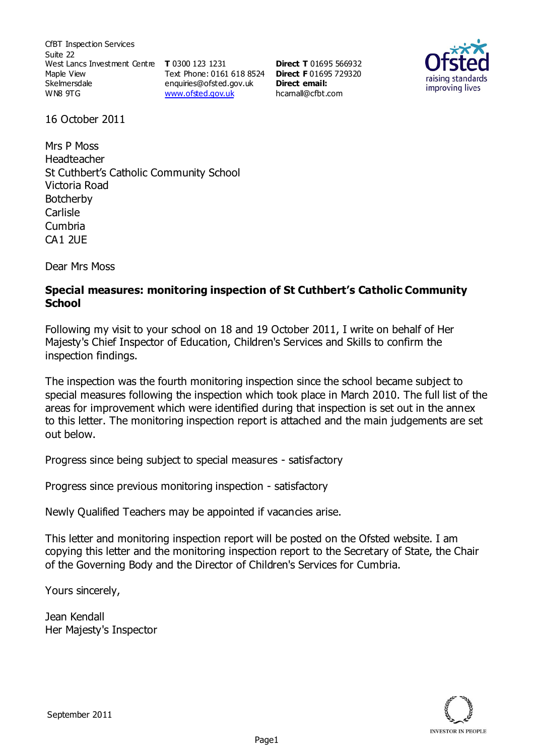CfBT Inspection Services Suite 22 West Lancs Investment Centre **T** 0300 123 1231 Maple View Skelmersdale WN8 9TG

Text Phone: 0161 618 8524 **Direct F** 01695 729320 enquiries@ofsted.gov.uk www.ofsted.gov.uk

**Direct T** 01695 566932 **Direct email:**  hcarnall@cfbt.com



16 October 2011

Mrs P Moss Headteacher St Cuthbert's Catholic Community School Victoria Road Botcherby Carlisle Cumbria CA1 2UE

Dear Mrs Moss

### **Special measures: monitoring inspection of St Cuthbert's Catholic Community School**

Following my visit to your school on 18 and 19 October 2011, I write on behalf of Her Majesty's Chief Inspector of Education, Children's Services and Skills to confirm the inspection findings.

The inspection was the fourth monitoring inspection since the school became subject to special measures following the inspection which took place in March 2010. The full list of the areas for improvement which were identified during that inspection is set out in the annex to this letter. The monitoring inspection report is attached and the main judgements are set out below.

Progress since being subject to special measures - satisfactory

Progress since previous monitoring inspection - satisfactory

Newly Qualified Teachers may be appointed if vacancies arise.

This letter and monitoring inspection report will be posted on the Ofsted website. I am copying this letter and the monitoring inspection report to the Secretary of State, the Chair of the Governing Body and the Director of Children's Services for Cumbria.

Yours sincerely,

Jean Kendall Her Majesty's Inspector

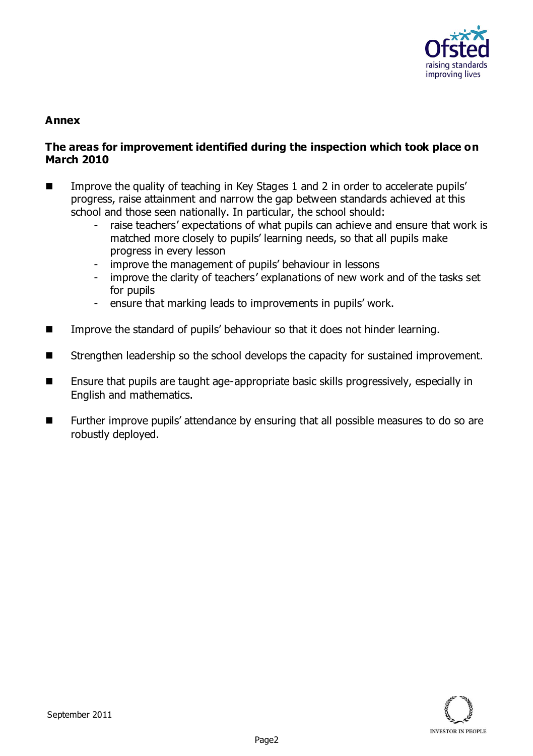

## **Annex**

### **The areas for improvement identified during the inspection which took place on March 2010**

- Improve the quality of teaching in Key Stages 1 and 2 in order to accelerate pupils' progress, raise attainment and narrow the gap between standards achieved at this school and those seen nationally. In particular, the school should:
	- raise teachers' expectations of what pupils can achieve and ensure that work is matched more closely to pupils' learning needs, so that all pupils make progress in every lesson
	- improve the management of pupils' behaviour in lessons
	- improve the clarity of teachers' explanations of new work and of the tasks set for pupils
	- ensure that marking leads to improvements in pupils' work.
- **IMPROVE THE STANDARD INCOCO EXAMPLE 1** Improve the standard of pupils' behaviour so that it does not hinder learning.
- Strengthen leadership so the school develops the capacity for sustained improvement.
- Ensure that pupils are taught age-appropriate basic skills progressively, especially in English and mathematics.
- Further improve pupils' attendance by ensuring that all possible measures to do so are robustly deployed.

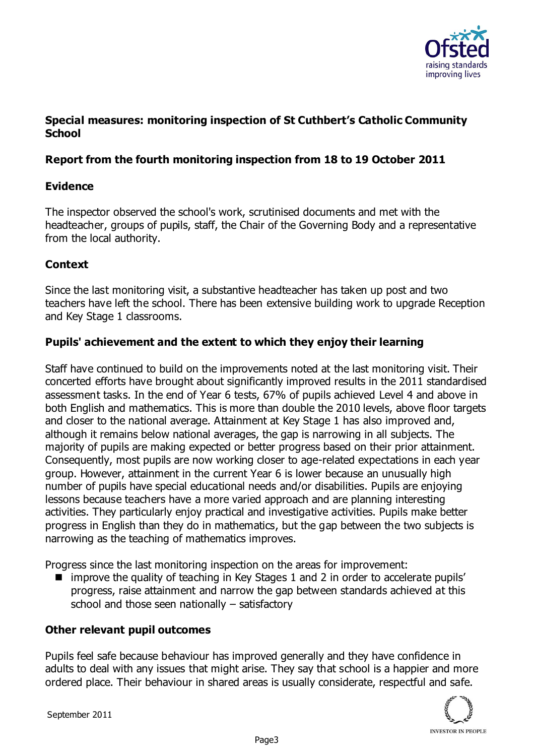

## **Special measures: monitoring inspection of St Cuthbert's Catholic Community School**

### **Report from the fourth monitoring inspection from 18 to 19 October 2011**

### **Evidence**

The inspector observed the school's work, scrutinised documents and met with the headteacher, groups of pupils, staff, the Chair of the Governing Body and a representative from the local authority.

## **Context**

Since the last monitoring visit, a substantive headteacher has taken up post and two teachers have left the school. There has been extensive building work to upgrade Reception and Key Stage 1 classrooms.

### **Pupils' achievement and the extent to which they enjoy their learning**

Staff have continued to build on the improvements noted at the last monitoring visit. Their concerted efforts have brought about significantly improved results in the 2011 standardised assessment tasks. In the end of Year 6 tests, 67% of pupils achieved Level 4 and above in both English and mathematics. This is more than double the 2010 levels, above floor targets and closer to the national average. Attainment at Key Stage 1 has also improved and, although it remains below national averages, the gap is narrowing in all subjects. The majority of pupils are making expected or better progress based on their prior attainment. Consequently, most pupils are now working closer to age-related expectations in each year group. However, attainment in the current Year 6 is lower because an unusually high number of pupils have special educational needs and/or disabilities. Pupils are enjoying lessons because teachers have a more varied approach and are planning interesting activities. They particularly enjoy practical and investigative activities. Pupils make better progress in English than they do in mathematics, but the gap between the two subjects is narrowing as the teaching of mathematics improves.

Progress since the last monitoring inspection on the areas for improvement:

■ improve the quality of teaching in Key Stages 1 and 2 in order to accelerate pupils' progress, raise attainment and narrow the gap between standards achieved at this school and those seen nationally – satisfactory

### **Other relevant pupil outcomes**

Pupils feel safe because behaviour has improved generally and they have confidence in adults to deal with any issues that might arise. They say that school is a happier and more ordered place. Their behaviour in shared areas is usually considerate, respectful and safe.

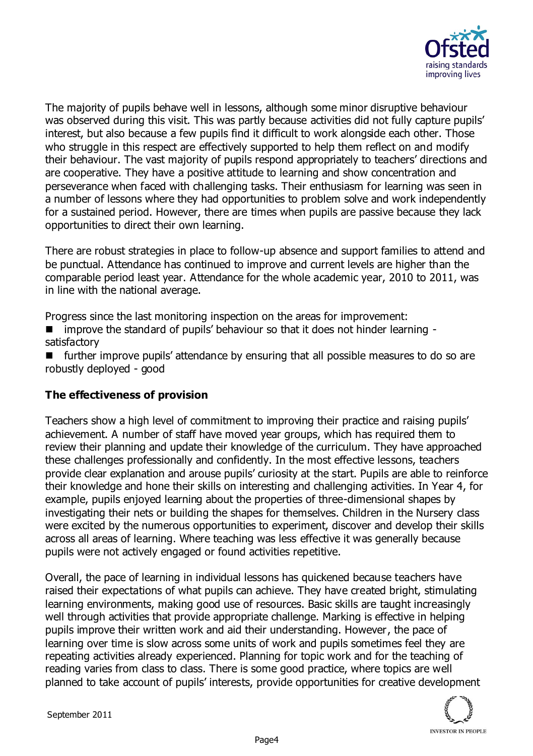

The majority of pupils behave well in lessons, although some minor disruptive behaviour was observed during this visit. This was partly because activities did not fully capture pupils' interest, but also because a few pupils find it difficult to work alongside each other. Those who struggle in this respect are effectively supported to help them reflect on and modify their behaviour. The vast majority of pupils respond appropriately to teachers' directions and are cooperative. They have a positive attitude to learning and show concentration and perseverance when faced with challenging tasks. Their enthusiasm for learning was seen in a number of lessons where they had opportunities to problem solve and work independently for a sustained period. However, there are times when pupils are passive because they lack opportunities to direct their own learning.

There are robust strategies in place to follow-up absence and support families to attend and be punctual. Attendance has continued to improve and current levels are higher than the comparable period least year. Attendance for the whole academic year, 2010 to 2011, was in line with the national average.

Progress since the last monitoring inspection on the areas for improvement:

improve the standard of pupils' behaviour so that it does not hinder learning satisfactory

 $\blacksquare$  further improve pupils' attendance by ensuring that all possible measures to do so are robustly deployed - good

# **The effectiveness of provision**

Teachers show a high level of commitment to improving their practice and raising pupils' achievement. A number of staff have moved year groups, which has required them to review their planning and update their knowledge of the curriculum. They have approached these challenges professionally and confidently. In the most effective lessons, teachers provide clear explanation and arouse pupils' curiosity at the start. Pupils are able to reinforce their knowledge and hone their skills on interesting and challenging activities. In Year 4, for example, pupils enjoyed learning about the properties of three-dimensional shapes by investigating their nets or building the shapes for themselves. Children in the Nursery class were excited by the numerous opportunities to experiment, discover and develop their skills across all areas of learning. Where teaching was less effective it was generally because pupils were not actively engaged or found activities repetitive.

Overall, the pace of learning in individual lessons has quickened because teachers have raised their expectations of what pupils can achieve. They have created bright, stimulating learning environments, making good use of resources. Basic skills are taught increasingly well through activities that provide appropriate challenge. Marking is effective in helping pupils improve their written work and aid their understanding. However, the pace of learning over time is slow across some units of work and pupils sometimes feel they are repeating activities already experienced. Planning for topic work and for the teaching of reading varies from class to class. There is some good practice, where topics are well planned to take account of pupils' interests, provide opportunities for creative development